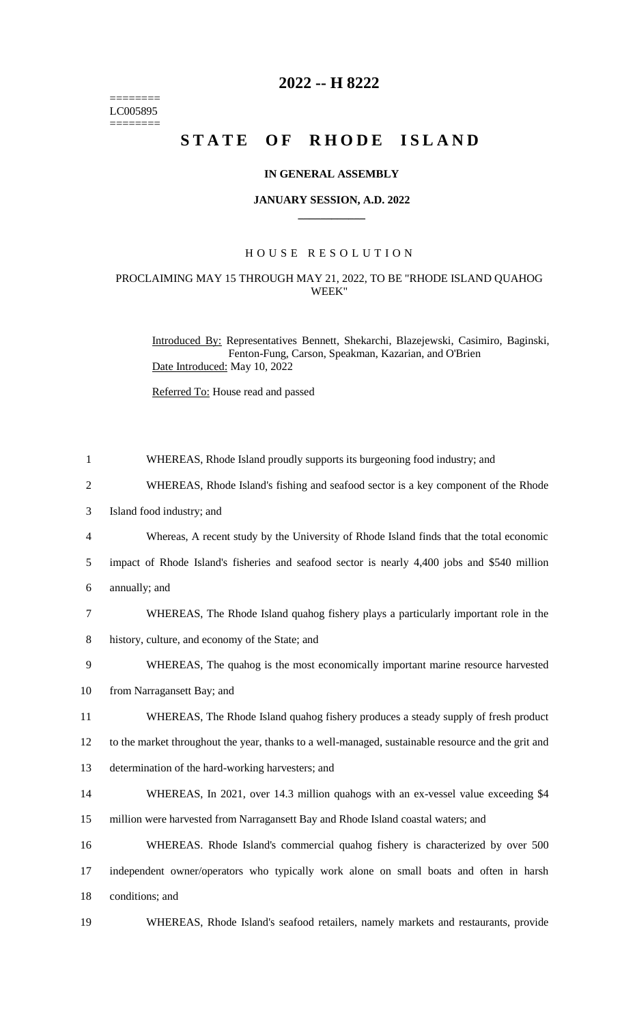======== LC005895  $=$ 

## **2022 -- H 8222**

# **STATE OF RHODE ISLAND**

#### **IN GENERAL ASSEMBLY**

#### **JANUARY SESSION, A.D. 2022 \_\_\_\_\_\_\_\_\_\_\_\_**

### H O U S E R E S O L U T I O N

#### PROCLAIMING MAY 15 THROUGH MAY 21, 2022, TO BE "RHODE ISLAND QUAHOG WEEK"

Introduced By: Representatives Bennett, Shekarchi, Blazejewski, Casimiro, Baginski, Fenton-Fung, Carson, Speakman, Kazarian, and O'Brien Date Introduced: May 10, 2022

Referred To: House read and passed

| $\mathbf{1}$   | WHEREAS, Rhode Island proudly supports its burgeoning food industry; and                           |
|----------------|----------------------------------------------------------------------------------------------------|
| $\overline{2}$ | WHEREAS, Rhode Island's fishing and seafood sector is a key component of the Rhode                 |
| 3              | Island food industry; and                                                                          |
| 4              | Whereas, A recent study by the University of Rhode Island finds that the total economic            |
| 5              | impact of Rhode Island's fisheries and seafood sector is nearly 4,400 jobs and \$540 million       |
| 6              | annually; and                                                                                      |
| 7              | WHEREAS, The Rhode Island quahog fishery plays a particularly important role in the                |
| $8\,$          | history, culture, and economy of the State; and                                                    |
| 9              | WHEREAS, The quahog is the most economically important marine resource harvested                   |
| 10             | from Narragansett Bay; and                                                                         |
| 11             | WHEREAS, The Rhode Island quahog fishery produces a steady supply of fresh product                 |
| 12             | to the market throughout the year, thanks to a well-managed, sustainable resource and the grit and |
| 13             | determination of the hard-working harvesters; and                                                  |
| 14             | WHEREAS, In 2021, over 14.3 million qualogs with an ex-vessel value exceeding \$4                  |
| 15             | million were harvested from Narragansett Bay and Rhode Island coastal waters; and                  |
| 16             | WHEREAS. Rhode Island's commercial quahog fishery is characterized by over 500                     |
| 17             | independent owner/operators who typically work alone on small boats and often in harsh             |
| 18             | conditions; and                                                                                    |
| 19             | WHEREAS, Rhode Island's seafood retailers, namely markets and restaurants, provide                 |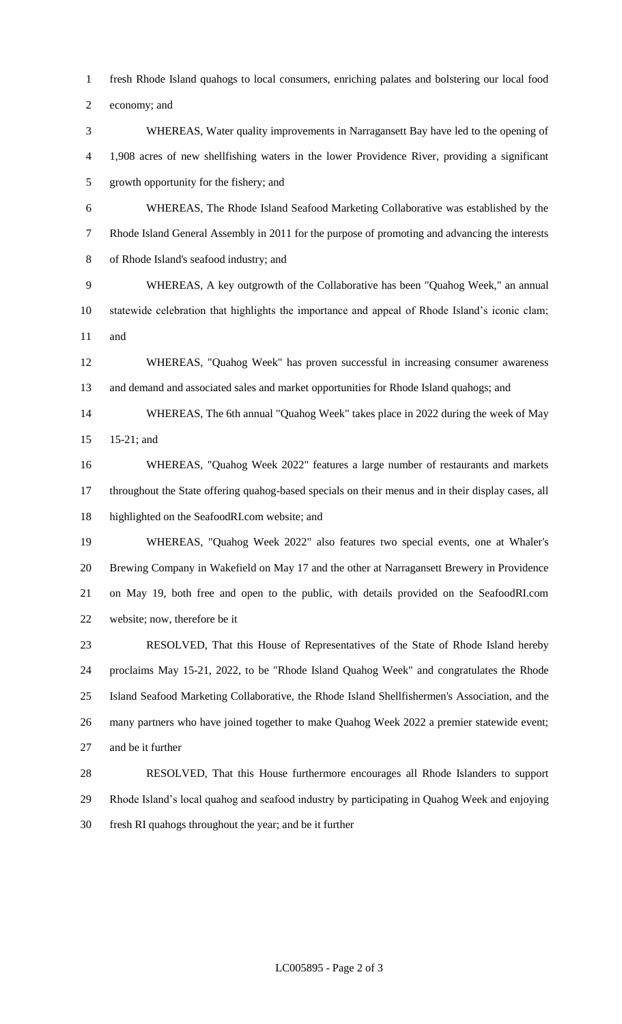fresh Rhode Island quahogs to local consumers, enriching palates and bolstering our local food

economy; and

 WHEREAS, Water quality improvements in Narragansett Bay have led to the opening of 1,908 acres of new shellfishing waters in the lower Providence River, providing a significant growth opportunity for the fishery; and

 WHEREAS, The Rhode Island Seafood Marketing Collaborative was established by the Rhode Island General Assembly in 2011 for the purpose of promoting and advancing the interests of Rhode Island's seafood industry; and

 WHEREAS, A key outgrowth of the Collaborative has been "Quahog Week," an annual statewide celebration that highlights the importance and appeal of Rhode Island's iconic clam; and

 WHEREAS, "Quahog Week" has proven successful in increasing consumer awareness and demand and associated sales and market opportunities for Rhode Island quahogs; and

 WHEREAS, The 6th annual "Quahog Week" takes place in 2022 during the week of May 15-21; and

 WHEREAS, "Quahog Week 2022" features a large number of restaurants and markets throughout the State offering quahog-based specials on their menus and in their display cases, all highlighted on the SeafoodRI.com website; and

 WHEREAS, "Quahog Week 2022" also features two special events, one at Whaler's Brewing Company in Wakefield on May 17 and the other at Narragansett Brewery in Providence on May 19, both free and open to the public, with details provided on the SeafoodRI.com website; now, therefore be it

 RESOLVED, That this House of Representatives of the State of Rhode Island hereby proclaims May 15-21, 2022, to be "Rhode Island Quahog Week" and congratulates the Rhode Island Seafood Marketing Collaborative, the Rhode Island Shellfishermen's Association, and the many partners who have joined together to make Quahog Week 2022 a premier statewide event; and be it further

 RESOLVED, That this House furthermore encourages all Rhode Islanders to support Rhode Island's local quahog and seafood industry by participating in Quahog Week and enjoying fresh RI quahogs throughout the year; and be it further